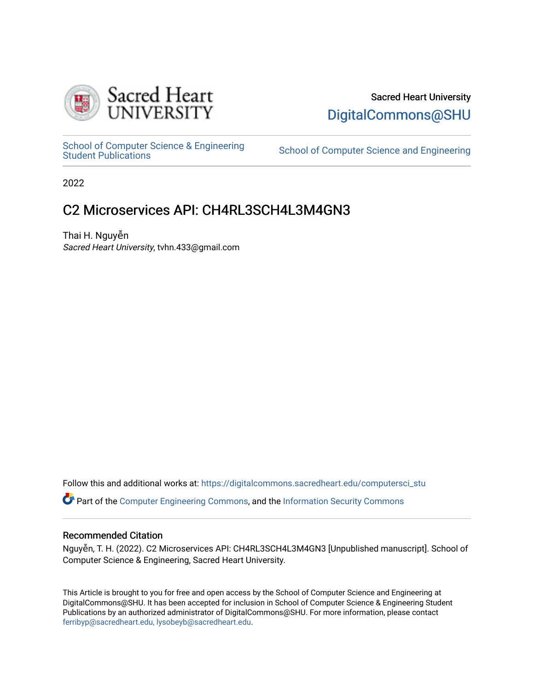

# Sacred Heart University [DigitalCommons@SHU](https://digitalcommons.sacredheart.edu/)

School of Computer Science & Engineering<br>Student Publications

School of Computer Science and Engineering

2022

# C2 Microservices API: CH4RL3SCH4L3M4GN3

Thai H. Nguyễn Sacred Heart University, tvhn.433@gmail.com

Follow this and additional works at: [https://digitalcommons.sacredheart.edu/computersci\\_stu](https://digitalcommons.sacredheart.edu/computersci_stu?utm_source=digitalcommons.sacredheart.edu%2Fcomputersci_stu%2F2&utm_medium=PDF&utm_campaign=PDFCoverPages)

Part of the [Computer Engineering Commons,](http://network.bepress.com/hgg/discipline/258?utm_source=digitalcommons.sacredheart.edu%2Fcomputersci_stu%2F2&utm_medium=PDF&utm_campaign=PDFCoverPages) and the [Information Security Commons](http://network.bepress.com/hgg/discipline/1247?utm_source=digitalcommons.sacredheart.edu%2Fcomputersci_stu%2F2&utm_medium=PDF&utm_campaign=PDFCoverPages)

# Recommended Citation

Nguyễn, T. H. (2022). C2 Microservices API: CH4RL3SCH4L3M4GN3 [Unpublished manuscript]. School of Computer Science & Engineering, Sacred Heart University.

This Article is brought to you for free and open access by the School of Computer Science and Engineering at DigitalCommons@SHU. It has been accepted for inclusion in School of Computer Science & Engineering Student Publications by an authorized administrator of DigitalCommons@SHU. For more information, please contact [ferribyp@sacredheart.edu, lysobeyb@sacredheart.edu.](mailto:ferribyp@sacredheart.edu,%20lysobeyb@sacredheart.edu)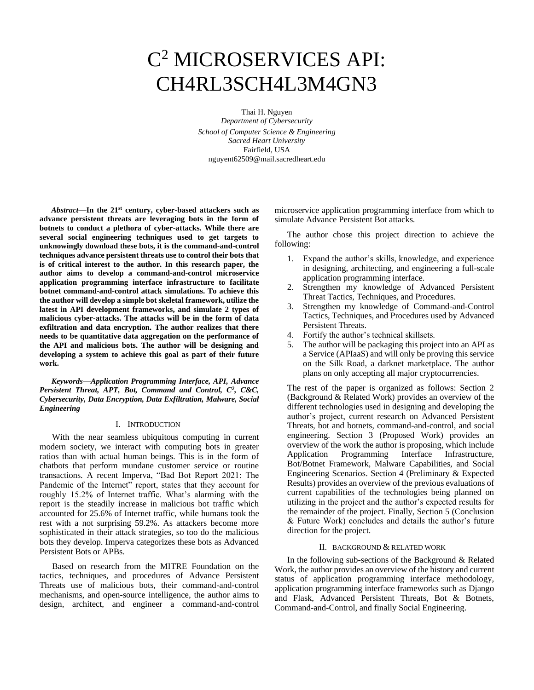# C <sup>2</sup> MICROSERVICES API: CH4RL3SCH4L3M4GN3

Thai H. Nguyen *Department of Cybersecurity School of Computer Science & Engineering Sacred Heart University* Fairfield, USA nguyent62509@mail.sacredheart.edu

*Abstract***—In the 21st century, cyber-based attackers such as advance persistent threats are leveraging bots in the form of botnets to conduct a plethora of cyber-attacks. While there are several social engineering techniques used to get targets to unknowingly download these bots, it is the command-and-control techniques advance persistent threats use to control their bots that is of critical interest to the author. In this research paper, the author aims to develop a command-and-control microservice application programming interface infrastructure to facilitate botnet command-and-control attack simulations. To achieve this the author will develop a simple bot skeletal framework, utilize the latest in API development frameworks, and simulate 2 types of malicious cyber-attacks. The attacks will be in the form of data exfiltration and data encryption. The author realizes that there needs to be quantitative data aggregation on the performance of the API and malicious bots. The author will be designing and developing a system to achieve this goal as part of their future work.**

*Keywords—Application Programming Interface, API, Advance Persistent Threat, APT, Bot, Command and Control, C<sup>2</sup> , C&C, Cybersecurity, Data Encryption, Data Exfiltration, Malware, Social Engineering*

#### I. INTRODUCTION

With the near seamless ubiquitous computing in current modern society, we interact with computing bots in greater ratios than with actual human beings. This is in the form of chatbots that perform mundane customer service or routine transactions. A recent Imperva, "Bad Bot Report 2021: The Pandemic of the Internet" report, states that they account for roughly 15.2% of Internet traffic. What's alarming with the report is the steadily increase in malicious bot traffic which accounted for 25.6% of Internet traffic, while humans took the rest with a not surprising 59.2%. As attackers become more sophisticated in their attack strategies, so too do the malicious bots they develop. Imperva categorizes these bots as Advanced Persistent Bots or APBs.

Based on research from the MITRE Foundation on the tactics, techniques, and procedures of Advance Persistent Threats use of malicious bots, their command-and-control mechanisms, and open-source intelligence, the author aims to design, architect, and engineer a command-and-control

microservice application programming interface from which to simulate Advance Persistent Bot attacks.

The author chose this project direction to achieve the following:

- 1. Expand the author's skills, knowledge, and experience in designing, architecting, and engineering a full-scale application programming interface.
- 2. Strengthen my knowledge of Advanced Persistent Threat Tactics, Techniques, and Procedures.
- 3. Strengthen my knowledge of Command-and-Control Tactics, Techniques, and Procedures used by Advanced Persistent Threats.
- 4. Fortify the author's technical skillsets.
- 5. The author will be packaging this project into an API as a Service (APIaaS) and will only be proving this service on the Silk Road, a darknet marketplace. The author plans on only accepting all major cryptocurrencies.

The rest of the paper is organized as follows: Section 2 (Background & Related Work) provides an overview of the different technologies used in designing and developing the author's project, current research on Advanced Persistent Threats, bot and botnets, command-and-control, and social engineering. Section 3 (Proposed Work) provides an overview of the work the author is proposing, which include Application Programming Interface Infrastructure, Bot/Botnet Framework, Malware Capabilities, and Social Engineering Scenarios. Section 4 (Preliminary & Expected Results) provides an overview of the previous evaluations of current capabilities of the technologies being planned on utilizing in the project and the author's expected results for the remainder of the project. Finally, Section 5 (Conclusion & Future Work) concludes and details the author's future direction for the project.

#### II. BACKGROUND & RELATED WORK

In the following sub-sections of the Background & Related Work, the author provides an overview of the history and current status of application programming interface methodology, application programming interface frameworks such as Django and Flask, Advanced Persistent Threats, Bot & Botnets, Command-and-Control, and finally Social Engineering.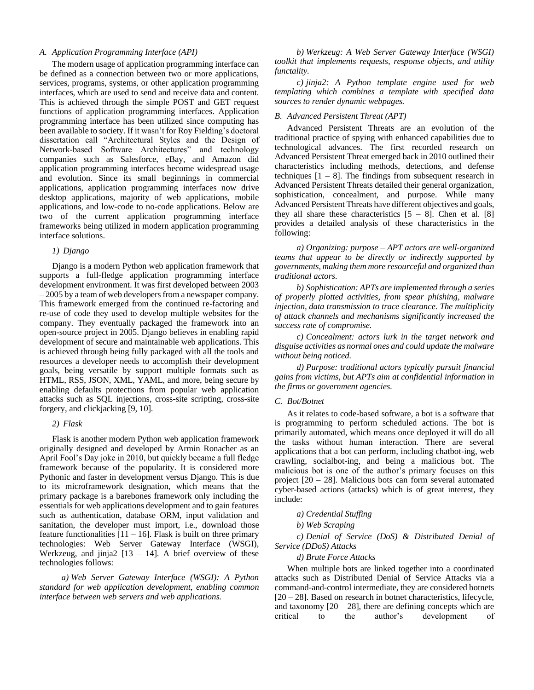#### *A. Application Programming Interface (API)*

The modern usage of application programming interface can be defined as a connection between two or more applications, services, programs, systems, or other application programming interfaces, which are used to send and receive data and content. This is achieved through the simple POST and GET request functions of application programming interfaces. Application programming interface has been utilized since computing has been available to society. If it wasn't for Roy Fielding's doctoral dissertation call "Architectural Styles and the Design of Network-based Software Architectures" and technology companies such as Salesforce, eBay, and Amazon did application programming interfaces become widespread usage and evolution. Since its small beginnings in commercial applications, application programming interfaces now drive desktop applications, majority of web applications, mobile applications, and low-code to no-code applications. Below are two of the current application programming interface frameworks being utilized in modern application programming interface solutions.

#### *1) Django*

Django is a modern Python web application framework that supports a full-fledge application programming interface development environment. It was first developed between 2003 – 2005 by a team of web developers from a newspaper company. This framework emerged from the continued re-factoring and re-use of code they used to develop multiple websites for the company. They eventually packaged the framework into an open-source project in 2005. Django believes in enabling rapid development of secure and maintainable web applications. This is achieved through being fully packaged with all the tools and resources a developer needs to accomplish their development goals, being versatile by support multiple formats such as HTML, RSS, JSON, XML, YAML, and more, being secure by enabling defaults protections from popular web application attacks such as SQL injections, cross-site scripting, cross-site forgery, and clickjacking [9, 10].

#### *2) Flask*

Flask is another modern Python web application framework originally designed and developed by Armin Ronacher as an April Fool's Day joke in 2010, but quickly became a full fledge framework because of the popularity. It is considered more Pythonic and faster in development versus Django. This is due to its microframework designation, which means that the primary package is a barebones framework only including the essentials for web applications development and to gain features such as authentication, database ORM, input validation and sanitation, the developer must import, i.e., download those feature functionalities  $[11 - 16]$ . Flask is built on three primary technologies: Web Server Gateway Interface (WSGI), Werkzeug, and jinja2  $[13 - 14]$ . A brief overview of these technologies follows:

*a) Web Server Gateway Interface (WSGI): A Python standard for web application development, enabling common interface between web servers and web applications.*

*b) Werkzeug: A Web Server Gateway Interface (WSGI) toolkit that implements requests, response objects, and utility functality.*

*c) jinja2: A Python template engine used for web templating which combines a template with specified data sources to render dynamic webpages.*

#### *B. Advanced Persistent Threat (APT)*

Advanced Persistent Threats are an evolution of the traditional practice of spying with enhanced capabilities due to technological advances. The first recorded research on Advanced Persistent Threat emerged back in 2010 outlined their characteristics including methods, detections, and defense techniques  $[1 - 8]$ . The findings from subsequent research in Advanced Persistent Threats detailed their general organization, sophistication, concealment, and purpose. While many Advanced Persistent Threats have different objectives and goals, they all share these characteristics  $[5 - 8]$ . Chen et al. [8] provides a detailed analysis of these characteristics in the following:

*a) Organizing: purpose – APT actors are well-organized teams that appear to be directly or indirectly supported by governments, making them more resourceful and organized than traditional actors.*

*b) Sophistication: APTs are implemented through a series of properly plotted activities, from spear phishing, malware injection, data transmission to trace clearance. The multiplicity of attack channels and mechanisms significantly increased the success rate of compromise.*

*c) Concealment: actors lurk in the target network and disguise activities as normal ones and could update the malware without being noticed.*

*d) Purpose: traditional actors typically pursuit financial gains from victims, but APTs aim at confidential information in the firms or government agencies.*

#### *C. Bot/Botnet*

As it relates to code-based software, a bot is a software that is programming to perform scheduled actions. The bot is primarily automated, which means once deployed it will do all the tasks without human interaction. There are several applications that a bot can perform, including chatbot-ing, web crawling, socialbot-ing, and being a malicious bot. The malicious bot is one of the author's primary focuses on this project [20 – 28]. Malicious bots can form several automated cyber-based actions (attacks) which is of great interest, they include:

#### *a) Credential Stuffing*

*b) Web Scraping*

*c) Denial of Service (DoS) & Distributed Denial of Service (DDoS) Attacks*

#### *d) Brute Force Attacks*

When multiple bots are linked together into a coordinated attacks such as Distributed Denial of Service Attacks via a command-and-control intermediate, they are considered botnets [20 – 28]. Based on research in botnet characteristics, lifecycle, and taxonomy  $[20 - 28]$ , there are defining concepts which are critical to the author's development of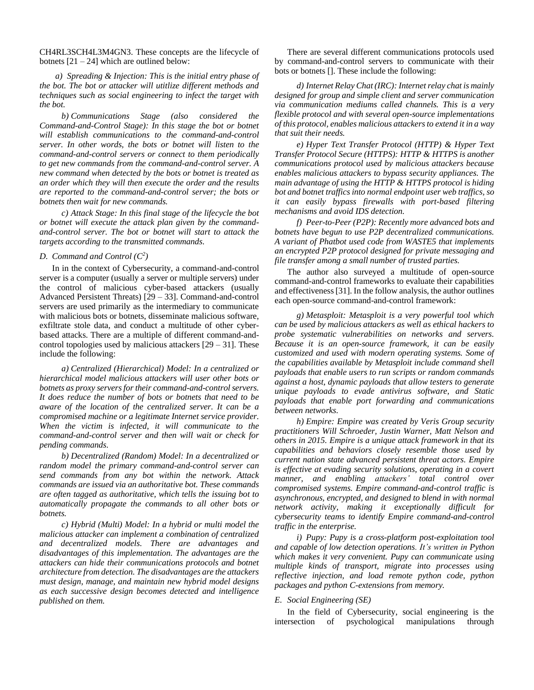CH4RL3SCH4L3M4GN3. These concepts are the lifecycle of botnets  $[21 - 24]$  which are outlined below:

*a) Spreading & Injection: This is the initial entry phase of the bot. The bot or attacker will utitlize different methods and techniques such as social engineering to infect the target with the bot.*

*b) Communications Stage (also considered the Command-and-Control Stage): In this stage the bot or botnet will establish communications to the command-and-control server. In other words, the bots or botnet will listen to the command-and-control servers or connect to them periodically to get new commands from the command-and-control server. A new command when detected by the bots or botnet is treated as an order which they will then execute the order and the results are reported to the command-and-control server; the bots or botnets then wait for new commands.*

*c) Attack Stage: In this final stage of the lifecycle the bot or botnet will execute the attack plan given by the commandand-control server. The bot or botnet will start to attack the targets according to the transmitted commands.*

# *D. Command and Control*  $(C^2)$

In in the context of Cybersecurity, a command-and-control server is a computer (usually a server or multiple servers) under the control of malicious cyber-based attackers (usually Advanced Persistent Threats) [29 – 33]. Command-and-control servers are used primarily as the intermediary to communicate with malicious bots or botnets, disseminate malicious software, exfiltrate stole data, and conduct a multitude of other cyberbased attacks. There are a multiple of different command-andcontrol topologies used by malicious attackers  $[29 - 31]$ . These include the following:

*a) Centralized (Hierarchical) Model: In a centralized or hierarchical model malicious attackers will user other bots or botnets as proxy servers for their command-and-control servers. It does reduce the number of bots or botnets that need to be aware of the location of the centralized server. It can be a compromised machine or a legitimate Internet service provider. When the victim is infected, it will communicate to the command-and-control server and then will wait or check for pending commands.*

*b) Decentralized (Random) Model: In a decentralized or random model the primary command-and-control server can send commands from any bot within the network. Attack commands are issued via an authoritative bot. These commands are often tagged as authoritative, which tells the issuing bot to automatically propagate the commands to all other bots or botnets.*

*c) Hybrid (Multi) Model: In a hybrid or multi model the malicious attacker can implement a combination of centralized and decentralized models. There are advantages and disadvantages of this implementation. The advantages are the attackers can hide their communications protocols and botnet architecture from detection. The disadvantages are the attackers must design, manage, and maintain new hybrid model designs as each successive design becomes detected and intelligence published on them.*

There are several different communications protocols used by command-and-control servers to communicate with their bots or botnets []. These include the following:

*d) Internet Relay Chat (IRC): Internet relay chat is mainly designed for group and simple client and server communication via communication mediums called channels. This is a very flexible protocol and with several open-source implementations of this protocol, enables malicious attackersto extend it in a way that suit their needs.*

*e) Hyper Text Transfer Protocol (HTTP) & Hyper Text Transfer Protocol Secure (HTTPS): HTTP & HTTPS is another communications protocol used by malicious attackers because enables malicious attackers to bypass security appliances. The main advantage of using the HTTP & HTTPS protocol is hiding bot and botnet traffics into normal endpoint user web traffics, so it can easily bypass firewalls with port-based filtering mechanisms and avoid IDS detection.*

*f) Peer-to-Peer (P2P): Recently more advanced bots and botnets have begun to use P2P decentralized communications. A variant of Phatbot used code from WASTE5 that implements an encrypted P2P protocol designed for private messaging and file transfer among a small number of trusted parties.*

The author also surveyed a multitude of open-source command-and-control frameworks to evaluate their capabilities and effectiveness [31]. In the follow analysis, the author outlines each open-source command-and-control framework:

*g) Metasploit: Metasploit is a very powerful tool which can be used by malicious attackers as well as ethical hackers to probe systematic vulnerabilities on networks and servers. Because it is an open-source framework, it can be easily customized and used with modern operating systems. Some of the capabilities available by Metasploit include command shell payloads that enable users to run scripts or random commands against a host, dynamic payloads that allow testers to generate unique payloads to evade antivirus software, and Static payloads that enable port forwarding and communications between networks.*

*h) Empire: Empire was created by Veris Group security practitioners Will Schroeder, Justin Warner, Matt Nelson and others in 2015. Empire is a unique attack framework in that its capabilities and behaviors closely resemble those used by current nation state advanced persistent threat actors. Empire is effective at evading security solutions, operating in a covert manner, and enabling attackers' total control over compromised systems. Empire command-and-control traffic is asynchronous, encrypted, and designed to blend in with normal network activity, making it exceptionally difficult for cybersecurity teams to identify Empire command-and-control traffic in the enterprise.*

*i) Pupy: Pupy is a cross-platform post-exploitation tool and capable of low detection operations. It's written in Python which makes it very convenient. Pupy can communicate using multiple kinds of transport, migrate into processes using reflective injection, and load remote python code, python packages and python C-extensions from memory.*

#### *E. Social Engineering (SE)*

In the field of Cybersecurity, social engineering is the intersection of psychological manipulations through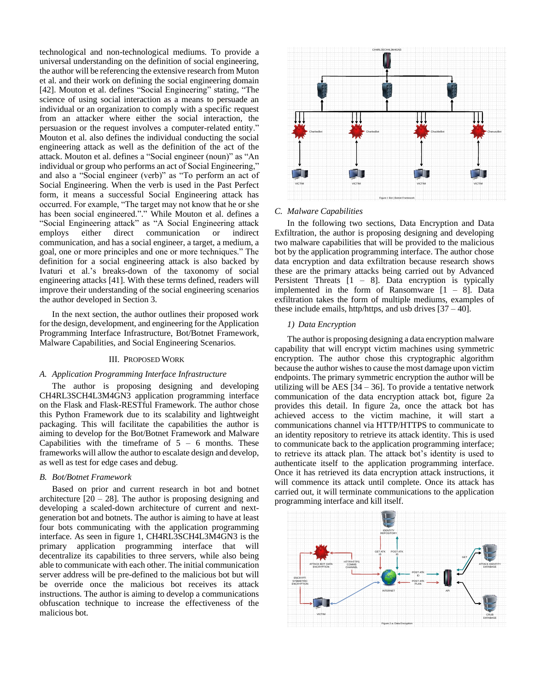technological and non-technological mediums. To provide a universal understanding on the definition of social engineering, the author will be referencing the extensive research from Muton et al. and their work on defining the social engineering domain [42]. Mouton et al. defines "Social Engineering" stating, "The science of using social interaction as a means to persuade an individual or an organization to comply with a specific request from an attacker where either the social interaction, the persuasion or the request involves a computer-related entity." Mouton et al. also defines the individual conducting the social engineering attack as well as the definition of the act of the attack. Mouton et al. defines a "Social engineer (noun)" as "An individual or group who performs an act of Social Engineering," and also a "Social engineer (verb)" as "To perform an act of Social Engineering. When the verb is used in the Past Perfect form, it means a successful Social Engineering attack has occurred. For example, "The target may not know that he or she has been social engineered."." While Mouton et al. defines a "Social Engineering attack" as "A Social Engineering attack employs either direct communication or indirect communication, and has a social engineer, a target, a medium, a goal, one or more principles and one or more techniques." The definition for a social engineering attack is also backed by Ivaturi et al.'s breaks-down of the taxonomy of social engineering attacks [41]. With these terms defined, readers will improve their understanding of the social engineering scenarios the author developed in Section 3.

In the next section, the author outlines their proposed work for the design, development, and engineering for the Application Programming Interface Infrastructure, Bot/Botnet Framework, Malware Capabilities, and Social Engineering Scenarios.

# III. PROPOSED WORK

#### *A. Application Programming Interface Infrastructure*

The author is proposing designing and developing CH4RL3SCH4L3M4GN3 application programming interface on the Flask and Flask-RESTful Framework. The author chose this Python Framework due to its scalability and lightweight packaging. This will facilitate the capabilities the author is aiming to develop for the Bot/Botnet Framework and Malware Capabilities with the timeframe of  $5 - 6$  months. These frameworks will allow the author to escalate design and develop, as well as test for edge cases and debug.

#### *B. Bot/Botnet Framework*

Based on prior and current research in bot and botnet architecture  $\lceil 20 - 28 \rceil$ . The author is proposing designing and developing a scaled-down architecture of current and nextgeneration bot and botnets. The author is aiming to have at least four bots communicating with the application programming interface. As seen in figure 1, CH4RL3SCH4L3M4GN3 is the primary application programming interface that will decentralize its capabilities to three servers, while also being able to communicate with each other. The initial communication server address will be pre-defined to the malicious bot but will be override once the malicious bot receives its attack instructions. The author is aiming to develop a communications obfuscation technique to increase the effectiveness of the malicious bot.



## *C. Malware Capabilities*

In the following two sections, Data Encryption and Data Exfiltration, the author is proposing designing and developing two malware capabilities that will be provided to the malicious bot by the application programming interface. The author chose data encryption and data exfiltration because research shows these are the primary attacks being carried out by Advanced Persistent Threats  $[1 - 8]$ . Data encryption is typically implemented in the form of Ransomware  $[1 - 8]$ . Data exfiltration takes the form of multiple mediums, examples of these include emails, http/https, and usb drives  $[37 - 40]$ .

#### *1) Data Encryption*

The author is proposing designing a data encryption malware capability that will encrypt victim machines using symmetric encryption. The author chose this cryptographic algorithm because the author wishes to cause the most damage upon victim endpoints. The primary symmetric encryption the author will be utilizing will be AES  $[34 - 36]$ . To provide a tentative network communication of the data encryption attack bot, figure 2a provides this detail. In figure 2a, once the attack bot has achieved access to the victim machine, it will start a communications channel via HTTP/HTTPS to communicate to an identity repository to retrieve its attack identity. This is used to communicate back to the application programming interface; to retrieve its attack plan. The attack bot's identity is used to authenticate itself to the application programming interface. Once it has retrieved its data encryption attack instructions, it will commence its attack until complete. Once its attack has carried out, it will terminate communications to the application programming interface and kill itself.

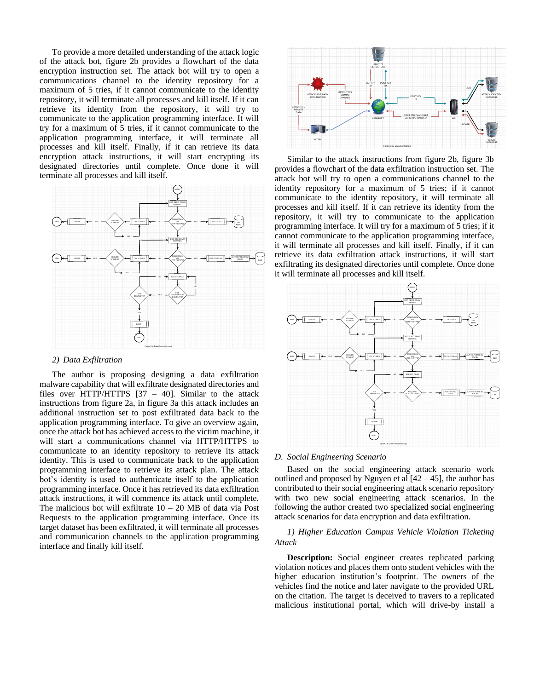To provide a more detailed understanding of the attack logic of the attack bot, figure 2b provides a flowchart of the data encryption instruction set. The attack bot will try to open a communications channel to the identity repository for a maximum of 5 tries, if it cannot communicate to the identity repository, it will terminate all processes and kill itself. If it can retrieve its identity from the repository, it will try to communicate to the application programming interface. It will try for a maximum of 5 tries, if it cannot communicate to the application programming interface, it will terminate all processes and kill itself. Finally, if it can retrieve its data encryption attack instructions, it will start encrypting its designated directories until complete. Once done it will terminate all processes and kill itself.



# *2) Data Exfiltration*

The author is proposing designing a data exfiltration malware capability that will exfiltrate designated directories and files over HTTP/HTTPS  $[37 - 40]$ . Similar to the attack instructions from figure 2a, in figure 3a this attack includes an additional instruction set to post exfiltrated data back to the application programming interface. To give an overview again, once the attack bot has achieved access to the victim machine, it will start a communications channel via HTTP/HTTPS to communicate to an identity repository to retrieve its attack identity. This is used to communicate back to the application programming interface to retrieve its attack plan. The attack bot's identity is used to authenticate itself to the application programming interface. Once it has retrieved its data exfiltration attack instructions, it will commence its attack until complete. The malicious bot will exfiltrate  $10 - 20$  MB of data via Post Requests to the application programming interface. Once its target dataset has been exfiltrated, it will terminate all processes and communication channels to the application programming interface and finally kill itself.



Similar to the attack instructions from figure 2b, figure 3b provides a flowchart of the data exfiltration instruction set. The attack bot will try to open a communications channel to the identity repository for a maximum of 5 tries; if it cannot communicate to the identity repository, it will terminate all processes and kill itself. If it can retrieve its identity from the repository, it will try to communicate to the application programming interface. It will try for a maximum of 5 tries; if it cannot communicate to the application programming interface, it will terminate all processes and kill itself. Finally, if it can retrieve its data exfiltration attack instructions, it will start exfiltrating its designated directories until complete. Once done it will terminate all processes and kill itself.



#### *D. Social Engineering Scenario*

Based on the social engineering attack scenario work outlined and proposed by Nguyen et al  $[42 - 45]$ , the author has contributed to their social engineering attack scenario repository with two new social engineering attack scenarios. In the following the author created two specialized social engineering attack scenarios for data encryption and data exfiltration.

#### *1) Higher Education Campus Vehicle Violation Ticketing Attack*

**Description:** Social engineer creates replicated parking violation notices and places them onto student vehicles with the higher education institution's footprint. The owners of the vehicles find the notice and later navigate to the provided URL on the citation. The target is deceived to travers to a replicated malicious institutional portal, which will drive-by install a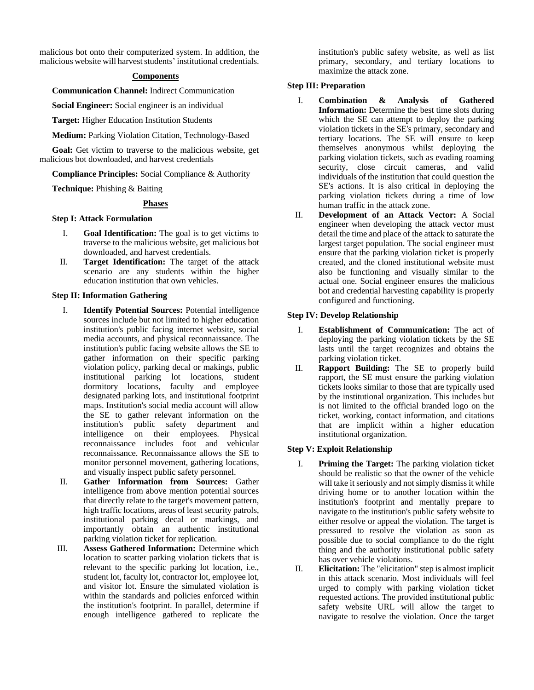malicious bot onto their computerized system. In addition, the malicious website will harvest students' institutional credentials.

# **Components**

**Communication Channel:** Indirect Communication

**Social Engineer:** Social engineer is an individual

**Target:** Higher Education Institution Students

**Medium:** Parking Violation Citation, Technology-Based

**Goal:** Get victim to traverse to the malicious website, get malicious bot downloaded, and harvest credentials

**Compliance Principles:** Social Compliance & Authority

**Technique:** Phishing & Baiting

#### **Phases**

# **Step I: Attack Formulation**

- I. **Goal Identification:** The goal is to get victims to traverse to the malicious website, get malicious bot downloaded, and harvest credentials.
- II. **Target Identification:** The target of the attack scenario are any students within the higher education institution that own vehicles.

#### **Step II: Information Gathering**

- I. **Identify Potential Sources:** Potential intelligence sources include but not limited to higher education institution's public facing internet website, social media accounts, and physical reconnaissance. The institution's public facing website allows the SE to gather information on their specific parking violation policy, parking decal or makings, public institutional parking lot locations, student dormitory locations, faculty and employee designated parking lots, and institutional footprint maps. Institution's social media account will allow the SE to gather relevant information on the institution's public safety department and intelligence on their employees. Physical reconnaissance includes foot and vehicular reconnaissance. Reconnaissance allows the SE to monitor personnel movement, gathering locations, and visually inspect public safety personnel.
- II. **Gather Information from Sources:** Gather intelligence from above mention potential sources that directly relate to the target's movement pattern, high traffic locations, areas of least security patrols, institutional parking decal or markings, and importantly obtain an authentic institutional parking violation ticket for replication.
- III. **Assess Gathered Information:** Determine which location to scatter parking violation tickets that is relevant to the specific parking lot location, i.e., student lot, faculty lot, contractor lot, employee lot, and visitor lot. Ensure the simulated violation is within the standards and policies enforced within the institution's footprint. In parallel, determine if enough intelligence gathered to replicate the

institution's public safety website, as well as list primary, secondary, and tertiary locations to maximize the attack zone.

# **Step III: Preparation**

- I. **Combination & Analysis of Gathered Information:** Determine the best time slots during which the SE can attempt to deploy the parking violation tickets in the SE's primary, secondary and tertiary locations. The SE will ensure to keep themselves anonymous whilst deploying the parking violation tickets, such as evading roaming security, close circuit cameras, and valid individuals of the institution that could question the SE's actions. It is also critical in deploying the parking violation tickets during a time of low human traffic in the attack zone.
- II. **Development of an Attack Vector:** A Social engineer when developing the attack vector must detail the time and place of the attack to saturate the largest target population. The social engineer must ensure that the parking violation ticket is properly created, and the cloned institutional website must also be functioning and visually similar to the actual one. Social engineer ensures the malicious bot and credential harvesting capability is properly configured and functioning.

# **Step IV: Develop Relationship**

- I. **Establishment of Communication:** The act of deploying the parking violation tickets by the SE lasts until the target recognizes and obtains the parking violation ticket.
- II. **Rapport Building:** The SE to properly build rapport, the SE must ensure the parking violation tickets looks similar to those that are typically used by the institutional organization. This includes but is not limited to the official branded logo on the ticket, working, contact information, and citations that are implicit within a higher education institutional organization.

# **Step V: Exploit Relationship**

- I. **Priming the Target:** The parking violation ticket should be realistic so that the owner of the vehicle will take it seriously and not simply dismiss it while driving home or to another location within the institution's footprint and mentally prepare to navigate to the institution's public safety website to either resolve or appeal the violation. The target is pressured to resolve the violation as soon as possible due to social compliance to do the right thing and the authority institutional public safety has over vehicle violations.
- II. **Elicitation:** The "elicitation" step is almost implicit in this attack scenario. Most individuals will feel urged to comply with parking violation ticket requested actions. The provided institutional public safety website URL will allow the target to navigate to resolve the violation. Once the target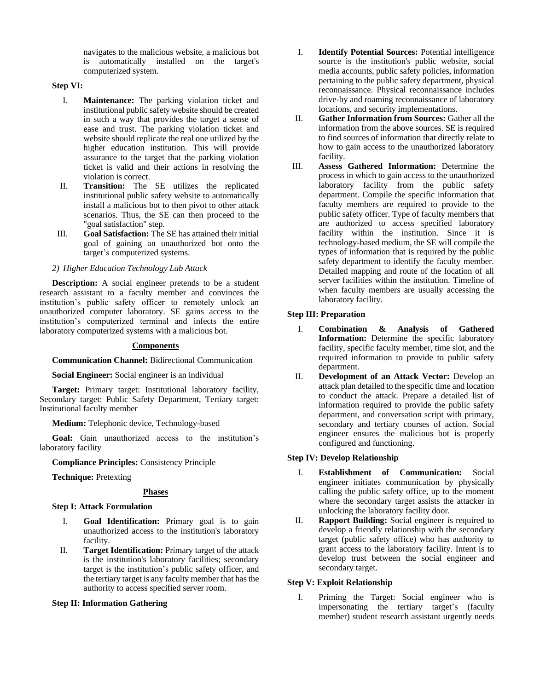navigates to the malicious website, a malicious bot is automatically installed on the target's computerized system.

# **Step VI:**

- I. **Maintenance:** The parking violation ticket and institutional public safety website should be created in such a way that provides the target a sense of ease and trust. The parking violation ticket and website should replicate the real one utilized by the higher education institution. This will provide assurance to the target that the parking violation ticket is valid and their actions in resolving the violation is correct.
- II. **Transition:** The SE utilizes the replicated institutional public safety website to automatically install a malicious bot to then pivot to other attack scenarios. Thus, the SE can then proceed to the "goal satisfaction" step.
- III. **Goal Satisfaction:** The SE has attained their initial goal of gaining an unauthorized bot onto the target's computerized systems.

# *2) Higher Education Technology Lab Attack*

**Description:** A social engineer pretends to be a student research assistant to a faculty member and convinces the institution's public safety officer to remotely unlock an unauthorized computer laboratory. SE gains access to the institution's computerized terminal and infects the entire laboratory computerized systems with a malicious bot.

# **Components**

# **Communication Channel:** Bidirectional Communication

**Social Engineer:** Social engineer is an individual

**Target:** Primary target: Institutional laboratory facility, Secondary target: Public Safety Department, Tertiary target: Institutional faculty member

**Medium:** Telephonic device, Technology-based

**Goal:** Gain unauthorized access to the institution's laboratory facility

**Compliance Principles:** Consistency Principle

**Technique:** Pretexting

# **Phases**

# **Step I: Attack Formulation**

- I. **Goal Identification:** Primary goal is to gain unauthorized access to the institution's laboratory facility.
- II. **Target Identification:** Primary target of the attack is the institution's laboratory facilities; secondary target is the institution's public safety officer, and the tertiary target is any faculty member that has the authority to access specified server room.

# **Step II: Information Gathering**

- I. **Identify Potential Sources:** Potential intelligence source is the institution's public website, social media accounts, public safety policies, information pertaining to the public safety department, physical reconnaissance. Physical reconnaissance includes drive-by and roaming reconnaissance of laboratory locations, and security implementations.
- II. **Gather Information from Sources:** Gather all the information from the above sources. SE is required to find sources of information that directly relate to how to gain access to the unauthorized laboratory facility.
- III. **Assess Gathered Information:** Determine the process in which to gain access to the unauthorized laboratory facility from the public safety department. Compile the specific information that faculty members are required to provide to the public safety officer. Type of faculty members that are authorized to access specified laboratory facility within the institution. Since it is technology-based medium, the SE will compile the types of information that is required by the public safety department to identify the faculty member. Detailed mapping and route of the location of all server facilities within the institution. Timeline of when faculty members are usually accessing the laboratory facility.

# **Step III: Preparation**

- I. **Combination & Analysis of Gathered Information:** Determine the specific laboratory facility, specific faculty member, time slot, and the required information to provide to public safety department.
- II. **Development of an Attack Vector:** Develop an attack plan detailed to the specific time and location to conduct the attack. Prepare a detailed list of information required to provide the public safety department, and conversation script with primary, secondary and tertiary courses of action. Social engineer ensures the malicious bot is properly configured and functioning.

# **Step IV: Develop Relationship**

- I. **Establishment of Communication:** Social engineer initiates communication by physically calling the public safety office, up to the moment where the secondary target assists the attacker in unlocking the laboratory facility door.
- II. **Rapport Building:** Social engineer is required to develop a friendly relationship with the secondary target (public safety office) who has authority to grant access to the laboratory facility. Intent is to develop trust between the social engineer and secondary target.

# **Step V: Exploit Relationship**

I. Priming the Target: Social engineer who is impersonating the tertiary target's (faculty member) student research assistant urgently needs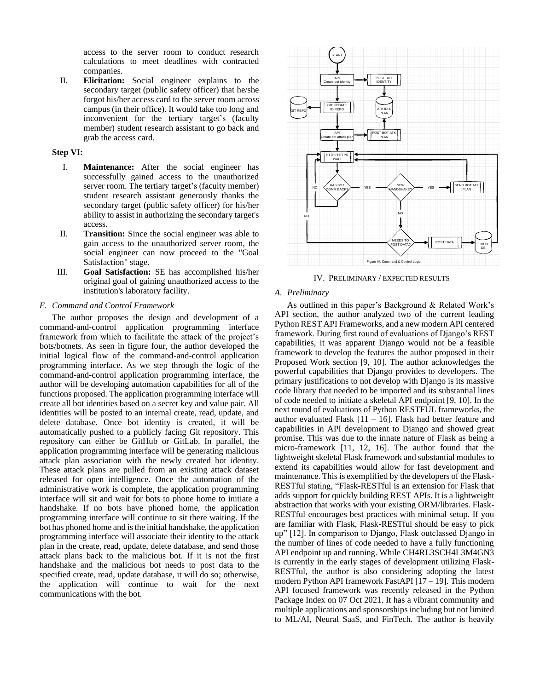access to the server room to conduct research calculations to meet deadlines with contracted companies.

II. **Elicitation:** Social engineer explains to the secondary target (public safety officer) that he/she forgot his/her access card to the server room across campus (in their office). It would take too long and inconvenient for the tertiary target's (faculty member) student research assistant to go back and grab the access card.

#### **Step VI:**

- I. **Maintenance:** After the social engineer has successfully gained access to the unauthorized server room. The tertiary target's (faculty member) student research assistant generously thanks the secondary target (public safety officer) for his/her ability to assist in authorizing the secondary target's access.
- II. **Transition:** Since the social engineer was able to gain access to the unauthorized server room, the social engineer can now proceed to the "Goal Satisfaction" stage.
- III. **Goal Satisfaction:** SE has accomplished his/her original goal of gaining unauthorized access to the institution's laboratory facility.

#### *E. Command and Control Framework*

The author proposes the design and development of a command-and-control application programming interface framework from which to facilitate the attack of the project's bots/botnets. As seen in figure four, the author developed the initial logical flow of the command-and-control application programming interface. As we step through the logic of the command-and-control application programming interface, the author will be developing automation capabilities for all of the functions proposed. The application programming interface will create all bot identities based on a secret key and value pair. All identities will be posted to an internal create, read, update, and delete database. Once bot identity is created, it will be automatically pushed to a publicly facing Git repository. This repository can either be GitHub or GitLab. In parallel, the application programming interface will be generating malicious attack plan association with the newly created bot identity. These attack plans are pulled from an existing attack dataset released for open intelligence. Once the automation of the administrative work is complete, the application programming interface will sit and wait for bots to phone home to initiate a handshake. If no bots have phoned home, the application programming interface will continue to sit there waiting. If the bot has phoned home and is the initial handshake, the application programming interface will associate their identity to the attack plan in the create, read, update, delete database, and send those attack plans back to the malicious bot. If it is not the first handshake and the malicious bot needs to post data to the specified create, read, update database, it will do so; otherwise, the application will continue to wait for the next communications with the bot.



IV. PRELIMINARY / EXPECTED RESULTS

#### *A. Preliminary*

As outlined in this paper's Background & Related Work's API section, the author analyzed two of the current leading Python REST API Frameworks, and a new modern API centered framework. During first round of evaluations of Django's REST capabilities, it was apparent Django would not be a feasible framework to develop the features the author proposed in their Proposed Work section [9, 10]. The author acknowledges the powerful capabilities that Django provides to developers. The primary justifications to not develop with Django is its massive code library that needed to be imported and its substantial lines of code needed to initiate a skeletal API endpoint [9, 10]. In the next round of evaluations of Python RESTFUL frameworks, the author evaluated Flask  $[11 - 16]$ . Flask had better feature and capabilities in API development to Django and showed great promise. This was due to the innate nature of Flask as being a micro-framework [11, 12, 16]. The author found that the lightweight skeletal Flask framework and substantial modules to extend its capabilities would allow for fast development and maintenance. This is exemplified by the developers of the Flask-RESTful stating, "Flask-RESTful is an extension for Flask that adds support for quickly building REST APIs. It is a lightweight abstraction that works with your existing ORM/libraries. Flask-RESTful encourages best practices with minimal setup. If you are familiar with Flask, Flask-RESTful should be easy to pick up" [12]. In comparison to Django, Flask outclassed Django in the number of lines of code needed to have a fully functioning API endpoint up and running. While CH4RL3SCH4L3M4GN3 is currently in the early stages of development utilizing Flask-RESTful, the author is also considering adopting the latest modern Python API framework FastAPI [17 – 19]. This modern API focused framework was recently released in the Python Package Index on 07 Oct 2021. It has a vibrant community and multiple applications and sponsorships including but not limited to ML/AI, Neural SaaS, and FinTech. The author is heavily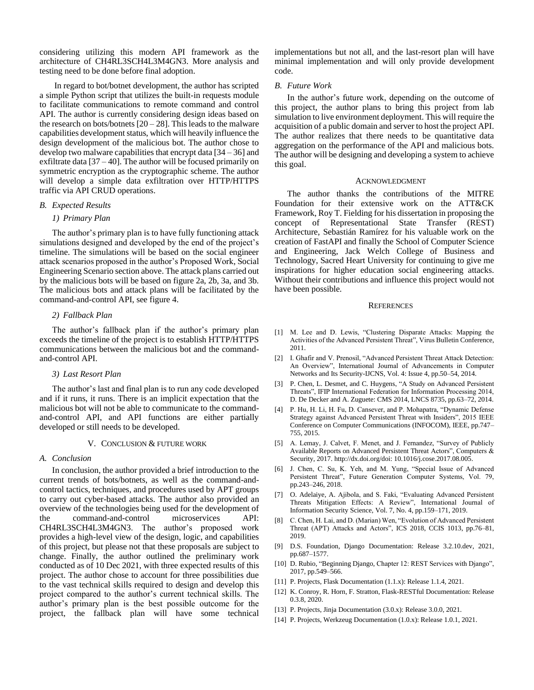considering utilizing this modern API framework as the architecture of CH4RL3SCH4L3M4GN3. More analysis and testing need to be done before final adoption.

In regard to bot/botnet development, the author has scripted a simple Python script that utilizes the built-in requests module to facilitate communications to remote command and control API. The author is currently considering design ideas based on the research on bots/botnets  $[20 - 28]$ . This leads to the malware capabilities development status, which will heavily influence the design development of the malicious bot. The author chose to develop two malware capabilities that encrypt data  $[34 - 36]$  and exfiltrate data  $[37 - 40]$ . The author will be focused primarily on symmetric encryption as the cryptographic scheme. The author will develop a simple data exfiltration over HTTP/HTTPS traffic via API CRUD operations.

#### *B. Expected Results*

#### *1) Primary Plan*

The author's primary plan is to have fully functioning attack simulations designed and developed by the end of the project's timeline. The simulations will be based on the social engineer attack scenarios proposed in the author's Proposed Work, Social Engineering Scenario section above. The attack plans carried out by the malicious bots will be based on figure 2a, 2b, 3a, and 3b. The malicious bots and attack plans will be facilitated by the command-and-control API, see figure 4.

#### *2) Fallback Plan*

The author's fallback plan if the author's primary plan exceeds the timeline of the project is to establish HTTP/HTTPS communications between the malicious bot and the commandand-control API.

#### *3) Last Resort Plan*

The author's last and final plan is to run any code developed and if it runs, it runs. There is an implicit expectation that the malicious bot will not be able to communicate to the commandand-control API, and API functions are either partially developed or still needs to be developed.

#### V. CONCLUSION & FUTURE WORK

# *A. Conclusion*

In conclusion, the author provided a brief introduction to the current trends of bots/botnets, as well as the command-andcontrol tactics, techniques, and procedures used by APT groups to carry out cyber-based attacks. The author also provided an overview of the technologies being used for the development of the command-and-control microservices API: CH4RL3SCH4L3M4GN3. The author's proposed work provides a high-level view of the design, logic, and capabilities of this project, but please not that these proposals are subject to change. Finally, the author outlined the preliminary work conducted as of 10 Dec 2021, with three expected results of this project. The author chose to account for three possibilities due to the vast technical skills required to design and develop this project compared to the author's current technical skills. The author's primary plan is the best possible outcome for the project, the fallback plan will have some technical implementations but not all, and the last-resort plan will have minimal implementation and will only provide development code.

#### *B. Future Work*

In the author's future work, depending on the outcome of this project, the author plans to bring this project from lab simulation to live environment deployment. This will require the acquisition of a public domain and server to host the project API. The author realizes that there needs to be quantitative data aggregation on the performance of the API and malicious bots. The author will be designing and developing a system to achieve this goal.

#### ACKNOWLEDGMENT

The author thanks the contributions of the MITRE Foundation for their extensive work on the ATT&CK Framework, Roy T. Fielding for his dissertation in proposing the concept of Representational State Transfer (REST) Architecture, Sebastián Ramírez for his valuable work on the creation of FastAPI and finally the School of Computer Science and Engineering, Jack Welch College of Business and Technology, Sacred Heart University for continuing to give me inspirations for higher education social engineering attacks. Without their contributions and influence this project would not have been possible.

#### **REFERENCES**

- [1] M. Lee and D. Lewis, "Clustering Disparate Attacks: Mapping the Activities of the Advanced Persistent Threat", Virus Bulletin Conference, 2011.
- [2] I. Ghafir and V. Prenosil, "Advanced Persistent Threat Attack Detection: An Overview", International Journal of Advancements in Computer Networks and Its Security-IJCNS, Vol. 4: Issue 4, pp.50–54, 2014.
- [3] P. Chen, L. Desmet, and C. Huygens, "A Study on Advanced Persistent Threats", IFIP International Federation for Information Processing 2014, D. De Decker and A. Zuguete: CMS 2014, LNCS 8735, pp.63–72, 2014.
- [4] P. Hu, H. Li, H. Fu, D. Cansever, and P. Mohapatra, "Dynamic Defense Strategy against Advanced Persistent Threat with Insiders", 2015 IEEE Conference on Computer Communications (INFOCOM), IEEE, pp.747– 755, 2015.
- [5] A. Lemay, J. Calvet, F. Menet, and J. Fernandez, "Survey of Publicly Available Reports on Advanced Persistent Threat Actors", Computers & Security, 2017. http://dx.doi.org/doi: 10.1016/j.cose.2017.08.005.
- [6] J. Chen, C. Su, K. Yeh, and M. Yung, "Special Issue of Advanced Persistent Threat", Future Generation Computer Systems, Vol. 79, pp.243–246, 2018.
- [7] O. Adelaiye, A. Ajibola, and S. Faki, "Evaluating Advanced Persistent Threats Mitigation Effects: A Review", International Journal of Information Security Science, Vol. 7, No. 4, pp.159–171, 2019.
- [8] C. Chen, H. Lai, and D. (Marian) Wen, "Evolution of Advanced Persistent Threat (APT) Attacks and Actors", ICS 2018, CCIS 1013, pp.76–81, 2019.
- [9] D.S. Foundation, Django Documentation: Release 3.2.10.dev, 2021, pp.687–1577.
- [10] D. Rubio, "Beginning Django, Chapter 12: REST Services with Django", 2017, pp.549–566.
- [11] P. Projects, Flask Documentation (1.1.x): Release 1.1.4, 2021.
- [12] K. Conroy, R. Horn, F. Stratton, Flask-RESTful Documentation: Release 0.3.8, 2020.
- [13] P. Projects, Jinja Documentation (3.0.x): Release 3.0.0, 2021.
- [14] P. Projects, Werkzeug Documentation (1.0.x): Release 1.0.1, 2021.